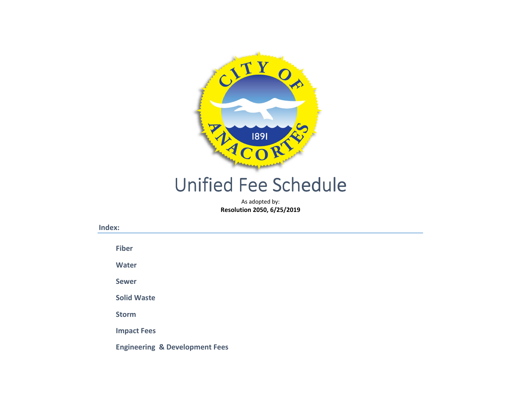

# Unified Fee Schedule

As adopted by:Resolution 2050, 6/25/2019

## Index:FiberWaterSewerSolid WasteStormImpact FeesEngineering & Development Fees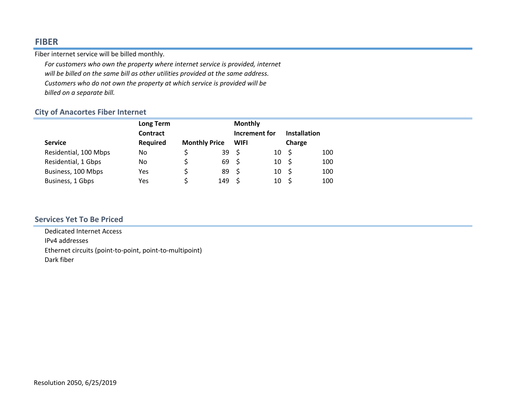## FIBER

Fiber internet service will be billed monthly.

For customers who own the property where internet service is provided, internet will be billed on the same bill as other utilities provided at the same address. Customers who do not own the property at which service is provided will be billed on a separate bill.

## City of Anacortes Fiber Internet

| 10 | - \$                            | 100                                                          |
|----|---------------------------------|--------------------------------------------------------------|
|    |                                 | 100                                                          |
|    | - S                             | 100                                                          |
|    | - S                             | 100                                                          |
|    | <b>Monthly</b><br>Increment for | <b>Installation</b><br>Charge<br>10 <sup>5</sup><br>10<br>10 |

## Services Yet To Be Priced

 Dedicated Internet AccessIPv4 addresses Ethernet circuits (point-to-point, point-to-multipoint)Dark fiber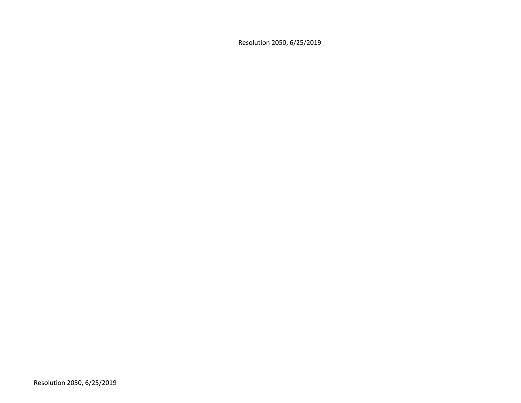Resolution 2050, 6/25/2019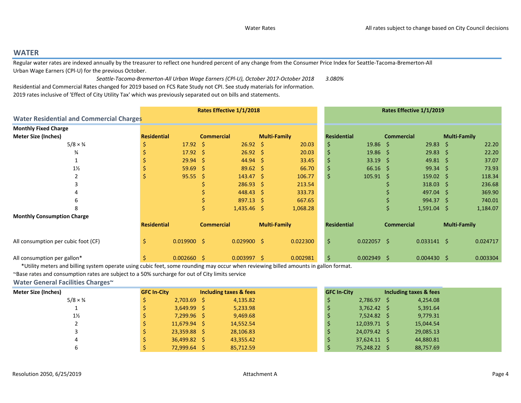## WATER

 Regular water rates are indexed annually by the treasurer to reflect one hundred percent of any change from the Consumer Price Index for Seattle-Tacoma-Bremerton-All Urban Wage Earners (CPl-U) for the previous October.

3.080%Residential and Commercial Rates changed for 2019 based on FCS Rate Study not CPI. See study materials for information. 2019 rates inclusive of 'Effect of City Utility Tax' which was previously separated out on bills and statements.Seattle-Tacoma-Bremerton-All Urban Wage Earners (CPl-U), October 2017-October 2018

|                                                 |                    |                  | Rates Effective 1/1/2018 |                   |                     |             |                  |                   | Rates Effective 1/1/2019 |                     |          |
|-------------------------------------------------|--------------------|------------------|--------------------------|-------------------|---------------------|-------------|------------------|-------------------|--------------------------|---------------------|----------|
| <b>Water Residential and Commercial Charges</b> |                    |                  |                          |                   |                     |             |                  |                   |                          |                     |          |
| <b>Monthly Fixed Charge</b>                     |                    |                  |                          |                   |                     |             |                  |                   |                          |                     |          |
| <b>Meter Size (Inches)</b>                      | <b>Residential</b> |                  | <b>Commercial</b>        |                   | <b>Multi-Family</b> | Residential |                  | <b>Commercial</b> |                          | <b>Multi-Family</b> |          |
| $5/8 \times \frac{3}{4}$                        |                    | $17.92 \quad$ \$ |                          | $26.92 \quad$     | 20.03               | \$          | $19.86 \quad $$  |                   | $29.83 \quad $$          |                     | 22.20    |
| $\frac{3}{4}$                                   |                    | $17.92 \quad$ \$ |                          | $26.92 \quad$ \$  | 20.03               | \$          | $19.86 \quad $$  |                   | $29.83 \quad $$          |                     | 22.20    |
|                                                 |                    | $29.94$ \$       |                          | $44.94 \quad $5$  | 33.45               | \$          | $33.19$ \$       |                   | $49.81 \quad $$          |                     | 37.07    |
| $1\frac{1}{2}$                                  |                    | 59.69            | -Ŝ                       | $89.62 \div$      | 66.70               | \$          | $66.16$ \$       |                   | $99.34 \div$             |                     | 73.93    |
|                                                 |                    | 95.55            | -S                       | $143.47 \quad$ \$ | 106.77              | \$          | $105.91 \quad $$ |                   | $159.02 \div$            |                     | 118.34   |
|                                                 |                    |                  |                          | $286.93$ \$       | 213.54              |             |                  |                   | $318.03 \quad $$         |                     | 236.68   |
|                                                 |                    |                  |                          | 448.43 \$         | 333.73              |             |                  |                   | $497.04 \quad $5$        |                     | 369.90   |
|                                                 |                    |                  |                          | $897.13 \quad$    | 667.65              |             |                  |                   | $994.37 \quad$ \$        |                     | 740.01   |
|                                                 |                    |                  |                          | $1,435.46$ \$     | 1,068.28            |             |                  |                   | $1,591.04$ \$            |                     | 1,184.07 |
| <b>Monthly Consumption Charge</b>               |                    |                  |                          |                   |                     |             |                  |                   |                          |                     |          |
|                                                 | <b>Residential</b> |                  | <b>Commercial</b>        |                   | <b>Multi-Family</b> | Residential |                  | <b>Commercial</b> |                          | <b>Multi-Family</b> |          |
| All consumption per cubic foot (CF)             | Ś                  | $0.019900$ \$    |                          | $0.029900$ \$     | 0.022300            | \$          | $0.022057$ \$    |                   | $0.033141 \quad $$       |                     | 0.024717 |
| All consumption per gallon*                     |                    | $0.002660$ \$    |                          | $0.003997$ \$     | 0.002981            | \$.         | $0.002949$ \$    |                   | $0.004430 \quad $$       |                     | 0.003304 |

\*Utility meters and billing system operate using cubic feet, some rounding may occur when reviewing billed amounts in gallon format.~Base rates and consumption rates are subject to a 50% surcharge for out of City limits service

Water General Facilities Charges~

| Meter Size (Inches)      | <b>GFC In-City</b> |                | Including taxes & fees | <b>GFC In-City</b> |                | Including taxes & fees |
|--------------------------|--------------------|----------------|------------------------|--------------------|----------------|------------------------|
| $5/8 \times \frac{3}{4}$ |                    | $2,703.69$ \$  | 4,135.82               |                    | $2,786.97$ \$  | 4,254.08               |
|                          |                    | $3,649.99$ \$  | 5,233.98               |                    | $3,762.42$ \$  | 5,391.64               |
| $1\frac{1}{2}$           |                    | $7,299.96$ \$  | 9,469.68               |                    | 7,524.82 \$    | 9,779.31               |
|                          |                    | $11,679.94$ \$ | 14,552.54              |                    | $12,039.71$ \$ | 15,044.54              |
|                          |                    | 23,359.88 \$   | 28,106.83              |                    | 24,079.42 \$   | 29,085.13              |
|                          |                    | $36,499.82$ \$ | 43,355.42              |                    | $37,624.11$ \$ | 44,880.81              |
| 6                        |                    | 72,999.64 \$   | 85,712.59              |                    | 75,248.22 \$   | 88,757.69              |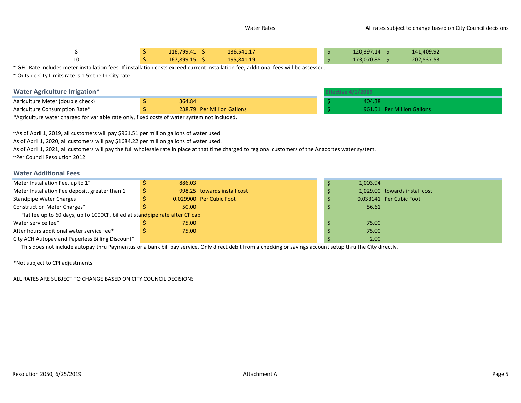|    | 116,799.41 | 136,541.17 | 120,397.14 | 141,409.92 |
|----|------------|------------|------------|------------|
| 10 | 167,899.15 | 195,841.19 | 173,070.88 | 202,837.53 |

~ GFC Rate includes meter installation fees. If installation costs exceed current installation fee, additional fees will be assessed.

~ Outside City Limits rate is 1.5x the In-City rate.

| <b>Water Agriculture Irrigation*</b> |                            |                            |
|--------------------------------------|----------------------------|----------------------------|
| Agriculture Meter (double check)     | 364.84                     |                            |
| Agriculture Consumption Rate*        | 238.79 Per Million Gallons | 961.51 Per Million Gallons |

\*Agriculture water charged for variable rate only, fixed costs of water system not included.

~As of April 1, 2019, all customers will pay \$961.51 per million gallons of water used.

As of April 1, 2020, all customers will pay \$1684.22 per million gallons of water used.

As of April 1, 2021, all customers will pay the full wholesale rate in place at that time charged to regional customers of the Anacortes water system.

~Per Council Resolution 2012

#### Water Additional Fees

| Meter Installation Fee, up to 1"                                             | 886.03                      | 1,003.94                      |
|------------------------------------------------------------------------------|-----------------------------|-------------------------------|
| Meter Installation Fee deposit, greater than 1"                              | 998.25 towards install cost | 1,029.00 towards install cost |
| <b>Standpipe Water Charges</b>                                               | 0.029900 Per Cubic Foot     | 0.033141 Per Cubic Foot       |
| Construction Meter Charges*                                                  | 50.00                       | 56.61                         |
| Flat fee up to 60 days, up to 1000CF, billed at standpipe rate after CF cap. |                             |                               |
| Water service fee*                                                           | 75.00                       | 75.00                         |
| After hours additional water service fee*                                    | 75.00                       | 75.00                         |
| City ACH Autopay and Paperless Billing Discount*                             |                             | 2.00                          |

This does not include autopay thru Paymentus or a bank bill pay service. Only direct debit from a checking or savings account setup thru the City directly.

\*Not subject to CPI adjustments

ALL RATES ARE SUBJECT TO CHANGE BASED ON CITY COUNCIL DECISIONS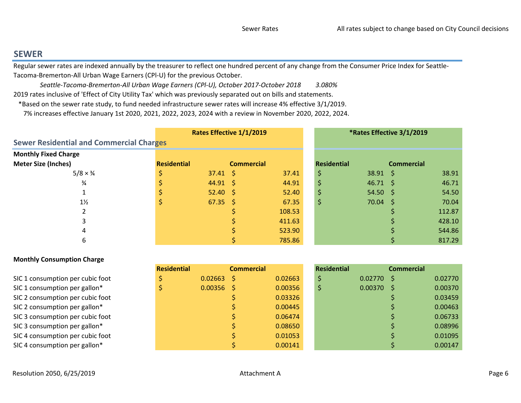## **SEWER**

 Regular sewer rates are indexed annually by the treasurer to reflect one hundred percent of any change from the Consumer Price Index for Seattle-Tacoma-Bremerton-All Urban Wage Earners (CPl-U) for the previous October.

3.080% 2019 rates inclusive of 'Effect of City Utility Tax' which was previously separated out on bills and statements. Seattle-Tacoma-Bremerton-All Urban Wage Earners (CPl-U), October 2017-October 2018

\*Based on the sewer rate study, to fund needed infrastructure sewer rates will increase 4% effective 3/1/2019.

7% increases effective January 1st 2020, 2021, 2022, 2023, 2024 with a review in November 2020, 2022, 2024.

|                                                 |                    |                 | Rates Effective 1/1/2019 |        |                    |                    | *Rates Effective 3/1/2019 |        |
|-------------------------------------------------|--------------------|-----------------|--------------------------|--------|--------------------|--------------------|---------------------------|--------|
| <b>Sewer Residential and Commercial Charges</b> |                    |                 |                          |        |                    |                    |                           |        |
| <b>Monthly Fixed Charge</b>                     |                    |                 |                          |        |                    |                    |                           |        |
| <b>Meter Size (Inches)</b>                      | <b>Residential</b> |                 | <b>Commercial</b>        |        | <b>Residential</b> |                    | <b>Commercial</b>         |        |
| $5/8 \times \frac{3}{4}$                        |                    | $37.41 \quad $$ |                          | 37.41  | \$                 | $38.91 \quad $$    |                           | 38.91  |
| $\frac{3}{4}$                                   |                    | $44.91 \quad $$ |                          | 44.91  | \$                 | $46.71 \quad $5$   |                           | 46.71  |
|                                                 |                    | $52.40 \pm 5$   |                          | 52.40  | \$                 | $54.50\frac{1}{2}$ |                           | 54.50  |
| $1\frac{1}{2}$                                  |                    | $67.35$ \$      |                          | 67.35  | \$                 | 70.04              | -S                        | 70.04  |
|                                                 |                    |                 |                          | 108.53 |                    |                    |                           | 112.87 |
|                                                 |                    |                 |                          | 411.63 |                    |                    |                           | 428.10 |
| 4                                               |                    |                 |                          | 523.90 |                    |                    |                           | 544.86 |
| ь                                               |                    |                 |                          | 785.86 |                    |                    |                           | 817.29 |

### Monthly Consumption Charge

SIC 1 consumption per cubic footSIC 1 consumption per gallon\*

- SIC 2 consumption per cubic foot
- SIC 2 consumption per gallon\*
- SIC 3 consumption per cubic foot
- SIC 3 consumption per gallon\*
- SIC 4 consumption per cubic foot
- SIC 4 consumption per gallon\*

|        | <b>Residential</b> |         | <b>Commercial</b> |         | <b>Residential</b> |         | <b>Commercial</b> |         |
|--------|--------------------|---------|-------------------|---------|--------------------|---------|-------------------|---------|
| foot   | \$                 | 0.02663 | -S                | 0.02663 | \$                 | 0.02770 | S                 | 0.02770 |
| $\ast$ | \$                 | 0.00356 | -Ŝ                | 0.00356 | \$                 | 0.00370 | S                 | 0.00370 |
| foot   |                    |         |                   | 0.03326 |                    |         |                   | 0.03459 |
| $\ast$ |                    |         |                   | 0.00445 |                    |         |                   | 0.00463 |
| foot   |                    |         |                   | 0.06474 |                    |         |                   | 0.06733 |
| $\ast$ |                    |         |                   | 0.08650 |                    |         |                   | 0.08996 |
| foot   |                    |         |                   | 0.01053 |                    |         |                   | 0.01095 |
| $\ast$ |                    |         |                   | 0.00141 |                    |         |                   | 0.00147 |
|        |                    |         |                   |         |                    |         |                   |         |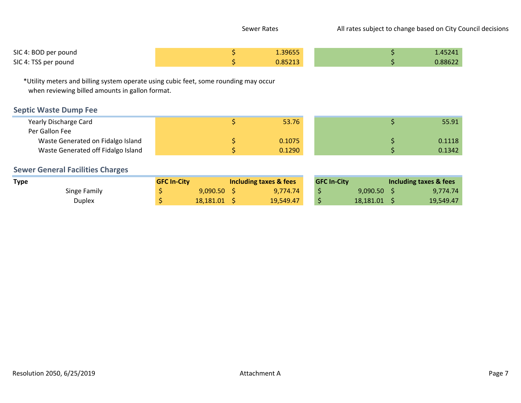|                                                                                                                                         |                    |               |                     | Sewer Rates                       |                    |               | All rates subject to change based on City Council decisions |
|-----------------------------------------------------------------------------------------------------------------------------------------|--------------------|---------------|---------------------|-----------------------------------|--------------------|---------------|-------------------------------------------------------------|
| SIC 4: BOD per pound                                                                                                                    |                    |               | \$                  | 1.39655                           |                    |               | \$<br>1.45241                                               |
| SIC 4: TSS per pound                                                                                                                    |                    |               | \$                  | 0.85213                           |                    |               | \$<br>0.88622                                               |
| *Utility meters and billing system operate using cubic feet, some rounding may occur<br>when reviewing billed amounts in gallon format. |                    |               |                     |                                   |                    |               |                                                             |
|                                                                                                                                         |                    |               |                     |                                   |                    |               |                                                             |
| <b>Septic Waste Dump Fee</b>                                                                                                            |                    |               |                     |                                   |                    |               |                                                             |
| Yearly Discharge Card                                                                                                                   |                    |               | \$.                 | 53.76                             |                    |               | \$<br>55.91                                                 |
| Per Gallon Fee                                                                                                                          |                    |               |                     |                                   |                    |               |                                                             |
| Waste Generated on Fidalgo Island                                                                                                       |                    |               | \$                  | 0.1075                            |                    |               | \$<br>0.1118                                                |
| Waste Generated off Fidalgo Island                                                                                                      |                    |               | $\ddot{\mathsf{S}}$ | 0.1290                            |                    |               | \$<br>0.1342                                                |
| <b>Sewer General Facilities Charges</b>                                                                                                 |                    |               |                     |                                   |                    |               |                                                             |
| <b>Type</b>                                                                                                                             | <b>GFC In-City</b> |               |                     | <b>Including taxes &amp; fees</b> | <b>GFC In-City</b> |               | <b>Including taxes &amp; fees</b>                           |
| Singe Family                                                                                                                            | \$                 | $9,090.50$ \$ |                     | 9,774.74                          | \$                 | $9,090.50$ \$ | 9,774.74                                                    |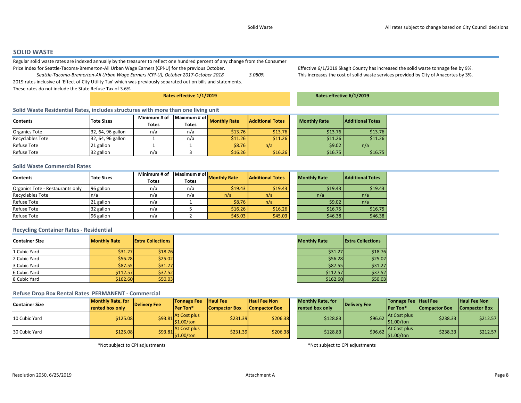#### SOLID WASTE

 Regular solid waste rates are indexed annually by the treasurer to reflect one hundred percent of any change from the Consumer Price Index for Seattle-Tacoma-Bremerton-All Urban Wage Earners (CPl-U) for the previous October.

3.080%2019 rates inclusive of 'Effect of City Utility Tax' which was previously separated out on bills and statements. These rates do not include the State Refuse Tax of 3.6%Seattle-Tacoma-Bremerton-All Urban Wage Earners (CPl-U), October 2017-October 2018

Rates effective 1/1/2019

Effective 6/1/2019 Skagit County has increased the solid waste tonnage fee by 9%.This increases the cost of solid waste services provided by City of Anacortes by 3%.

#### Rates effective 6/1/2019

#### Solid Waste Residential Rates, includes structures with more than one living unit

| <b>Contents</b>         | <b>Tote Sizes</b> | Minimum # of<br><b>Totes</b> | Maximum # of<br><b>Totes</b> | <b>Monthly Rate</b> | <b>Additional Totes</b> | <b>Monthly Rate</b> | <b>Additional Totes</b> |
|-------------------------|-------------------|------------------------------|------------------------------|---------------------|-------------------------|---------------------|-------------------------|
| <b>Organics Tote</b>    | 32, 64, 96 gallon | n/a                          | n/a                          | \$13.76             | \$13.76                 | \$13.76             | \$13.76                 |
| <b>Recyclables Tote</b> | 32, 64, 96 gallon |                              | n/a                          | \$11.26             | \$11.26                 | \$11.26             | \$11.26                 |
| <b>Refuse Tote</b>      | 21 gallon         |                              |                              | \$8.76              | n/a                     | \$9.02              | n/a                     |
| <b>Refuse Tote</b>      | 32 gallon         | n/a                          |                              | \$16.26             | \$16.26                 | \$16.75             | \$16.75                 |

#### Solid Waste Commercial Rates

| <b>Contents</b>                  | <b>Tote Sizes</b> | Minimum # of<br><b>Totes</b> | Maximum # of<br><b>Totes</b> | <b>Monthly Rate</b> | <b>Additional Totes</b> | <b>Monthly Rate</b> | <b>Additional Totes</b> |
|----------------------------------|-------------------|------------------------------|------------------------------|---------------------|-------------------------|---------------------|-------------------------|
| Organics Tote - Restaurants only | 96 gallon         | n/a                          | n/a                          | \$19.43             | \$19.43                 | \$19.43             | \$19.43                 |
| <b>Recyclables Tote</b>          | ln/a              | n/a                          | n/a                          | n/a                 | n/a                     | n/a                 | n/a                     |
| <b>Refuse Tote</b>               | 21 gallon         | n/a                          |                              | \$8.76              | n/a                     | \$9.02              | n/a                     |
| <b>Refuse Tote</b>               | 32 gallon         | n/a                          |                              | \$16.26             | \$16.26                 | \$16.75             | \$16.75                 |
| <b>Refuse Tote</b>               | 96 gallon         | n/a                          |                              | \$45.03             | \$45.03                 | \$46.38             | \$46.38                 |

#### Recycling Container Rates - Residential

| Container Size | <b>Monthly Rate</b> | <b>Extra Collections</b> |
|----------------|---------------------|--------------------------|
| 1 Cubic Yard   | \$31.27             | \$18.76                  |
| 2 Cubic Yard   | \$56.28             | \$25.02                  |
| 3 Cubic Yard   | \$87.55             | \$31.27                  |
| 6 Cubic Yard   | \$112.57            | \$37.52                  |
| 8 Cubic Yard   | \$162.60            | \$50.03                  |

| <b>Monthly Rate</b> | <b>Extra Collections</b> |
|---------------------|--------------------------|
| \$31.27             | \$18.76                  |
| \$56.28             | \$25.02                  |
| \$87.55             | \$31.27                  |
| \$112.57            | \$37.52                  |
| \$162.60            | \$50.03                  |

#### Refuse Drop Box Rental Rates PERMANENT - Commercial

| <b>Container Size</b> | <b>Monthly Rate, for</b> | Delivery Fee | <b>Tonnage Fee</b>                                                                                        | <b>Haul Fee</b>      | <b>Haul Fee Non</b>  | <b>Monthly Rate, for</b> | <b>Delivery Fee</b> | <b>Tonnage Fee Haul Fee</b>           |                      | <b>Haul Fee Non</b>  |
|-----------------------|--------------------------|--------------|-----------------------------------------------------------------------------------------------------------|----------------------|----------------------|--------------------------|---------------------|---------------------------------------|----------------------|----------------------|
|                       | rented box only          |              | Per Ton*                                                                                                  | <b>Compactor Box</b> | <b>Compactor Box</b> | rented box only          |                     | Per Ton*                              | <b>Compactor Box</b> | <b>Compactor Box</b> |
| 10 Cubic Yard         | \$125.08                 |              | At Cost plus<br>$\begin{array}{ c c c c }\n\hline\n\text{S}93.81 & \text{S1.00/ton}\n\hline\n\end{array}$ | \$231.39             | \$206.38             | \$128.83                 | \$96.62             | <b>At Cost plus</b><br>\$1.00/ton     | \$238.33             | \$212.57             |
| 30 Cubic Yard         | \$125.08                 |              | At Cost plus<br>$\begin{array}{ c c c c }\n\hline\n\text{S}93.81 & \text{S1.00/ton}\n\hline\n\end{array}$ | \$231.39             | \$206.38             | \$128.83                 | \$96.62             | At Cost plus<br>$\frac{1}{2}$ .00/ton | \$238.33             | \$212.57             |

\*Not subject to CPI adjustments

\*Not subject to CPI adjustments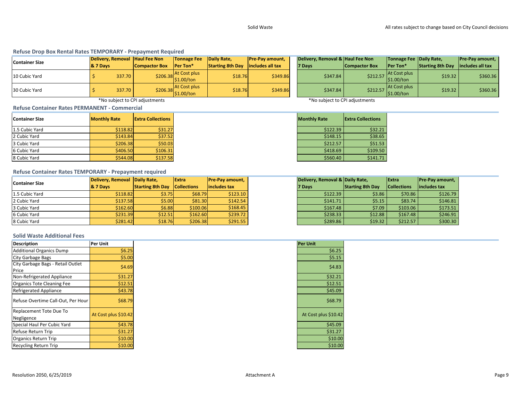#### Refuse Drop Box Rental Rates TEMPORARY - Prepayment Required

| <b>Container Size</b> |          |        | Delivery, Removal Haul Fee Non | Tonnage Fee Daily Rate,                       |                         | <b>Pre-Pay amount,</b> | Delivery, Removal & Haul Fee Non |                      | Tonnage Fee Daily Rate,    |                         | <b>Pre-Pay amount,</b> |
|-----------------------|----------|--------|--------------------------------|-----------------------------------------------|-------------------------|------------------------|----------------------------------|----------------------|----------------------------|-------------------------|------------------------|
|                       | & 7 Days |        | <b>Compactor Box</b>           | Per Ton*                                      | <b>Starting 8th Day</b> | lincludes all tax      | 7 Days                           | <b>Compactor Box</b> | Per Ton*                   | <b>Starting 8th Day</b> | includes all tax       |
| 10 Cubic Yard         |          | 337.70 |                                | At Cost plus<br>$\frac{1}{206.38}$ \$1.00/ton | \$18.76                 | \$349.86               | \$347.84                         | \$212.57             | At Cost plus<br>\$1.00/ton | \$19.32                 | \$360.36               |
| 30 Cubic Yard         |          | 337.70 |                                | $\frac{1}{206.38}$ At Cost plus               | \$18.76                 | \$349.86               | \$347.84                         | \$212.57             | At Cost plus<br>\$1.00/ton | \$19.32                 | \$360.36               |

\*No subject to CPI adjustments

#### Refuse Container Rates PERMANENT - Commercial

| <b>Container Size</b> | <b>Monthly Rate</b> | <b>Extra Collections</b> |
|-----------------------|---------------------|--------------------------|
| 1.5 Cubic Yard        | \$118.82            | \$31.27                  |
| 2 Cubic Yard          | \$143.84            | \$37.52                  |
| 3 Cubic Yard          | \$206.38            | \$50.03                  |
| 6 Cubic Yard          | \$406.50            | \$106.31                 |
| 8 Cubic Yard          | \$544.08            | \$137.58                 |

Refuse Container Rates TEMPORARY - Prepayment required

| <b>Container Size</b> | Delivery, Removal Daily Rate, |                                     | Extra    | <b>Pre-Pay amount,</b> |
|-----------------------|-------------------------------|-------------------------------------|----------|------------------------|
|                       | & 7 Days                      | <b>Starting 8th Day Collections</b> |          | lincludes tax          |
| 1.5 Cubic Yard        | \$118.82                      | \$3.75                              | \$68.79  | \$123.10               |
| 2 Cubic Yard          | \$137.58                      | \$5.00                              | \$81.30  | \$142.54               |
| 3 Cubic Yard          | \$162.60                      | \$6.88                              | \$100.06 | \$168.45               |
| 6 Cubic Yard          | \$231.39                      | \$12.51                             | \$162.60 | \$239.72               |
| 8 Cubic Yard          | \$281.42                      | \$18.76                             | \$206.38 | \$291.55               |

| Delivery, Removal & Daily Rate, |                         | <b>Extra</b>       | Pre-Pay amount, |
|---------------------------------|-------------------------|--------------------|-----------------|
| 7 Days                          | <b>Starting 8th Day</b> | <b>Collections</b> | includes tax    |
| \$122.39                        | \$3.86                  | \$70.86            | \$126.79        |
| \$141.71                        | \$5.15                  | \$83.74            | \$146.81        |
| \$167.48                        | \$7.09                  | \$103.06           | \$173.51        |
| \$238.33                        | \$12.88                 | \$167.48           | \$246.91        |
| \$289.86                        | \$19.32                 | \$212.57           | \$300.30        |

 $$38.65$ 

\*No subject to CPI adjustments

 $$51.53$ 

 $$109.50$ 

\$141.71

#### Solid Waste Additional Fees

| <b>Description</b>                 | <b>Per Unit</b>      |  |
|------------------------------------|----------------------|--|
| <b>Additional Organics Dump</b>    | \$6.25               |  |
| <b>City Garbage Bags</b>           | \$5.00               |  |
| City Garbage Bags - Retail Outlet  | \$4.69               |  |
| Price                              |                      |  |
| Non-Refrigerated Appliance         | \$31.27              |  |
| Organics Tote Cleaning Fee         | \$12.51              |  |
| <b>Refrigerated Appliance</b>      | \$43.78              |  |
| Refuse Overtime Call-Out, Per Hour | \$68.79              |  |
| Replacement Tote Due To            |                      |  |
| Negligence                         | At Cost plus \$10.42 |  |
| Special Haul Per Cubic Yard        | \$43.78              |  |
| Refuse Return Trip                 | \$31.27              |  |
| <b>Organics Return Trip</b>        | \$10.00              |  |
| <b>Recycling Return Trip</b>       | \$10.00              |  |

| Per Unit             |
|----------------------|
| \$6.25               |
| \$5.15               |
| \$4.83               |
| \$32.21              |
| \$12.51              |
| \$45.09              |
| \$68.79              |
| At Cost plus \$10.42 |
| \$45.09              |
| \$31.27              |
| \$10.00              |
| \$10.00              |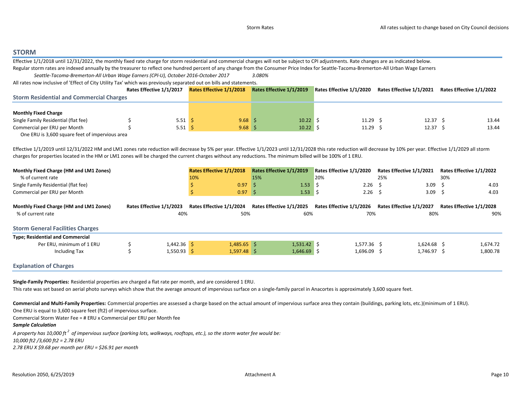#### STORM

 Effective 1/1/2018 until 12/31/2022, the monthly fixed rate charge for storm residential and commercial charges will not be subject to CPI adjustments. Rate changes are as indicated below.3.080%Regular storm rates are indexed annually by the treasurer to reflect one hundred percent of any change from the Consumer Price Index for Seattle-Tacoma-Bremerton-All Urban Wage Earners Seattle-Tacoma-Bremerton-All Urban Wage Earners (CPl-U), October 2016-October 2017

All rates now inclusive of 'Effect of City Utility Tax' which was previously separated out on bills and statements.

|                                                 | Rates Effective 1/1/2017 | Rates Effective 1/1/2018 | Rates Effective 1/1/2019 | Rates Effective 1/1/2020 | Rates Effective 1/1/2021 | Rates Effective 1/1/2022 |
|-------------------------------------------------|--------------------------|--------------------------|--------------------------|--------------------------|--------------------------|--------------------------|
| <b>Storm Residential and Commercial Charges</b> |                          |                          |                          |                          |                          |                          |
|                                                 |                          |                          |                          |                          |                          |                          |
| <b>Monthly Fixed Charge</b>                     |                          |                          |                          |                          |                          |                          |
| Single Family Residential (flat fee)            | 5.51 <sup>5</sup>        | 9.68 <sup>5</sup>        | $10.22$ \$               | 11.29 <sub>5</sub>       | 12.37 <sup>5</sup>       | 13.44                    |
| Commercial per ERU per Month                    | 5.51S                    | $9.68$ \$                | $10.22$ \$               | $11.29 \pm 5$            | 12.37 <sup>5</sup>       | 13.44                    |
| One ERU is 3,600 square feet of impervious area |                          |                          |                          |                          |                          |                          |

Effective 1/1/2019 until 12/31/2022 HM and LM1 zones rate reduction will decrease by 5% per year. Effective 1/1/2023 until 12/31/2028 this rate reduction will decrease by 10% per year. Effective 1/1/2029 all storm charges for properties located in the HM or LM1 zones will be charged the current charges without any reductions. The minimum billed will be 100% of 1 ERU.

| Monthly Fixed Charge (HM and LM1 Zones) |                          | Rates Effective 1/1/2018 |                 | Rates Effective 1/1/2019 |               | Rates Effective 1/1/2020 | Rates Effective 1/1/2021 | Rates Effective 1/1/2022 |
|-----------------------------------------|--------------------------|--------------------------|-----------------|--------------------------|---------------|--------------------------|--------------------------|--------------------------|
| % of current rate                       |                          | 10%                      |                 | 15%                      |               | 20%                      | 25%                      | 30%                      |
| Single Family Residential (flat fee)    |                          |                          | 0.97            | l S                      | 1.53          | 2.26<br>l S              | 3.09 <sup>5</sup>        | 4.03                     |
| Commercial per ERU per Month            |                          |                          | $0.97 \quad$ \$ |                          | 1.53          | 2.26<br>∣\$              | 3.09 <sup>5</sup>        | 4.03                     |
| Monthly Fixed Charge (HM and LM1 Zones) | Rates Effective 1/1/2023 | Rates Effective 1/1/2024 |                 | Rates Effective 1/1/2025 |               | Rates Effective 1/1/2026 | Rates Effective 1/1/2027 | Rates Effective 1/1/2028 |
| % of current rate                       | 40%                      |                          | 50%             |                          | 60%           | 70%                      | 80%                      | 90%                      |
| <b>Storm General Facilities Charges</b> |                          |                          |                 |                          |               |                          |                          |                          |
| <b>Type; Residential and Commercial</b> |                          |                          |                 |                          |               |                          |                          |                          |
| Per ERU, minimum of 1 ERU               | $1,442.36$ \$            |                          | $1,485.65$ \$   |                          | $1,531.42$ \$ | $1,577.36$ \$            | $1,624.68$ \$            | 1,674.72                 |
| <b>Including Tax</b>                    | $1,550.93$ \$            |                          | $1,597.48$ \$   |                          | $1,646.69$ \$ | $1,696.09$ \$            | 1,746.97 \$              | 1,800.78                 |
|                                         |                          |                          |                 |                          |               |                          |                          |                          |

#### Explanation of Charges

Single-Family Properties: Residential properties are charged a flat rate per month, and are considered 1 ERU.

This rate was set based on aerial photo surveys which show that the average amount of impervious surface on a single-family parcel in Anacortes is approximately 3,600 square feet.

Commercial and Multi-Family Properties: Commercial properties are assessed a charge based on the actual amount of impervious surface area they contain (buildings, parking lots, etc.)(minimum of 1 ERU). One ERU is equal to 3,600 square feet (ft2) of impervious surface.

Commercial Storm Water Fee = # ERU x Commercial per ERU per Month fee

#### Sample Calculation

A property has 10,000 ft  $^2$  of impervious surface (parking lots, walkways, rooftops, etc.), so the storm water fee would be:

10,000 ft2 /3,600 ft2 = 2.78 ERU

2.78 ERU X \$9.68 per month per ERU = \$26.91 per month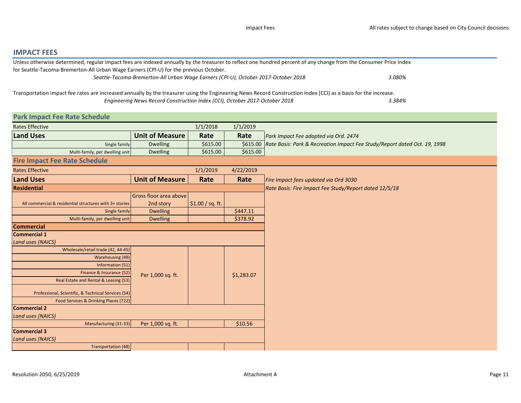## IMPACT FEES

|                                                                                       |                                                                                    |                  |            | Unless otherwise determined, regular impact fees are indexed annually by the treasurer to reflect one hundred percent of any change from the Consumer Price Index         |
|---------------------------------------------------------------------------------------|------------------------------------------------------------------------------------|------------------|------------|---------------------------------------------------------------------------------------------------------------------------------------------------------------------------|
| for Seattle-Tacoma-Bremerton-All Urban Wage Earners (CPI-U) for the previous October. |                                                                                    |                  |            |                                                                                                                                                                           |
|                                                                                       | Seattle-Tacoma-Bremerton-All Urban Wage Earners (CPI-U), October 2017-October 2018 |                  | 3.080%     |                                                                                                                                                                           |
|                                                                                       |                                                                                    |                  |            |                                                                                                                                                                           |
|                                                                                       | Engineering News Record Construction Index (CCI), October 2017-October 2018        |                  |            | Transportation impact fee rates are increased annually by the treasurer using the Engineering News Record Construction Index (CCI) as a basis for the increase.<br>3.384% |
|                                                                                       |                                                                                    |                  |            |                                                                                                                                                                           |
| <b>Park Impact Fee Rate Schedule</b>                                                  |                                                                                    |                  |            |                                                                                                                                                                           |
| <b>Rates Effective</b>                                                                |                                                                                    | 1/1/2018         | 1/1/2019   |                                                                                                                                                                           |
| <b>Land Uses</b>                                                                      | <b>Unit of Measure</b>                                                             | Rate             | Rate       | Park Impact Fee adopted via Ord. 2474                                                                                                                                     |
| Single family                                                                         | <b>Dwelling</b>                                                                    | \$615.00         |            | \$615.00 Rate Basis: Park & Recreation Impact Fee Study/Report dated Oct. 19, 1998                                                                                        |
| Multi-family, per dwelling unit                                                       | Dwelling                                                                           | \$615.00         | \$615.00   |                                                                                                                                                                           |
| <b>Fire Impact Fee Rate Schedule</b>                                                  |                                                                                    |                  |            |                                                                                                                                                                           |
| <b>Rates Effective</b>                                                                |                                                                                    | 1/1/2019         | 4/22/2019  |                                                                                                                                                                           |
| <b>Land Uses</b>                                                                      | <b>Unit of Measure</b>                                                             | Rate             | Rate       | Fire Impact fees updated via Ord 3030                                                                                                                                     |
| <b>Residential</b>                                                                    |                                                                                    |                  |            | Rate Basis: Fire Impact Fee Study/Report dated 12/5/18                                                                                                                    |
|                                                                                       | Gross floor area above                                                             |                  |            |                                                                                                                                                                           |
| All commercial & residential structures with 3+ stories                               | 2nd story                                                                          | \$1.00 / sq. ft. |            |                                                                                                                                                                           |
| Single family                                                                         | <b>Dwelling</b>                                                                    |                  | \$447.11   |                                                                                                                                                                           |
| Multi-family, per dwelling unit                                                       | <b>Dwelling</b>                                                                    |                  | \$378.92   |                                                                                                                                                                           |
| <b>Commercial</b>                                                                     |                                                                                    |                  |            |                                                                                                                                                                           |
| <b>Commercial 1</b>                                                                   |                                                                                    |                  |            |                                                                                                                                                                           |
| <b>Land uses (NAICS)</b><br>Wholesale/retail trade (42, 44-45)                        |                                                                                    |                  |            |                                                                                                                                                                           |
| Warehousing (49)                                                                      |                                                                                    |                  |            |                                                                                                                                                                           |
| Information (51)                                                                      |                                                                                    |                  |            |                                                                                                                                                                           |
| Finance & Insurance (52)                                                              | Per 1,000 sq. ft.                                                                  |                  |            |                                                                                                                                                                           |
| Real Estate and Rental & Leasing (53)                                                 |                                                                                    |                  | \$1,283.07 |                                                                                                                                                                           |
| Professional, Scientific, & Technical Services (54)                                   |                                                                                    |                  |            |                                                                                                                                                                           |
| Food Services & Drinking Places (722)                                                 |                                                                                    |                  |            |                                                                                                                                                                           |
| <b>Commercial 2</b>                                                                   |                                                                                    |                  |            |                                                                                                                                                                           |
| <b>Land uses (NAICS)</b>                                                              |                                                                                    |                  |            |                                                                                                                                                                           |
| Manufacturing (31-33)                                                                 | Per 1,000 sq. ft.                                                                  |                  | \$10.56    |                                                                                                                                                                           |
| <b>Commercial 3</b>                                                                   |                                                                                    |                  |            |                                                                                                                                                                           |
| <b>Land uses (NAICS)</b>                                                              |                                                                                    |                  |            |                                                                                                                                                                           |
| Transportation (48)                                                                   |                                                                                    |                  |            |                                                                                                                                                                           |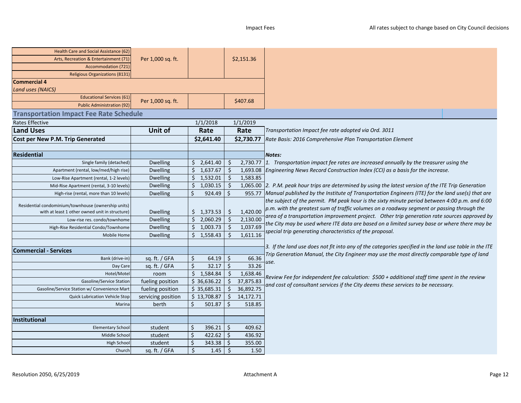| Per 1,000 sq. ft.<br>\$2,151.36<br>Arts, Recreation & Entertainment (71)<br>Accommodation (721)<br>Religious Organizations (8131)<br><b>Commercial 4</b><br><b>Land uses (NAICS)</b><br><b>Educational Services (61)</b><br>Per 1,000 sq. ft.<br>\$407.68<br><b>Public Administration (92)</b><br><b>Transportation Impact Fee Rate Schedule</b><br><b>Rates Effective</b><br>1/1/2018<br>1/1/2019<br>Unit of<br><b>Land Uses</b><br>Rate<br>Rate<br>Transportation Impact fee rate adopted via Ord. 3011<br>Cost per New P.M. Trip Generated<br>\$2,641.40<br>\$2,730.77<br>Rate Basis: 2016 Comprehensive Plan Transportation Element<br><b>Residential</b><br>Notes:<br>2,730.77 1. Transportation impact fee rates are increased annually by the treasurer using the<br><b>Dwelling</b><br>\$2,641.40<br>Single family (detached)<br>\$<br>$\zeta$<br>\$1,637.67<br>1,693.08 Engineering News Record Construction Index (CCI) as a basis for the increase.<br><b>Dwelling</b><br>Apartment (rental, low/med/high rise)<br>\$<br>1,532.01<br>\$<br>Dwelling<br>1,583.85<br>Low-Rise Apartment (rental, 1-2 levels)<br>Ś.<br>1,030.15<br>\$<br>1,065.00 2. P.M. peak hour trips are determined by using the latest version of the ITE Trip Generation<br><b>Dwelling</b><br>Mid-Rise Apartment (rental, 3-10 levels) | Health Care and Social Assistance (62) |  |  |  |
|------------------------------------------------------------------------------------------------------------------------------------------------------------------------------------------------------------------------------------------------------------------------------------------------------------------------------------------------------------------------------------------------------------------------------------------------------------------------------------------------------------------------------------------------------------------------------------------------------------------------------------------------------------------------------------------------------------------------------------------------------------------------------------------------------------------------------------------------------------------------------------------------------------------------------------------------------------------------------------------------------------------------------------------------------------------------------------------------------------------------------------------------------------------------------------------------------------------------------------------------------------------------------------------------------------------------|----------------------------------------|--|--|--|
|                                                                                                                                                                                                                                                                                                                                                                                                                                                                                                                                                                                                                                                                                                                                                                                                                                                                                                                                                                                                                                                                                                                                                                                                                                                                                                                        |                                        |  |  |  |
|                                                                                                                                                                                                                                                                                                                                                                                                                                                                                                                                                                                                                                                                                                                                                                                                                                                                                                                                                                                                                                                                                                                                                                                                                                                                                                                        |                                        |  |  |  |
|                                                                                                                                                                                                                                                                                                                                                                                                                                                                                                                                                                                                                                                                                                                                                                                                                                                                                                                                                                                                                                                                                                                                                                                                                                                                                                                        |                                        |  |  |  |
|                                                                                                                                                                                                                                                                                                                                                                                                                                                                                                                                                                                                                                                                                                                                                                                                                                                                                                                                                                                                                                                                                                                                                                                                                                                                                                                        |                                        |  |  |  |
|                                                                                                                                                                                                                                                                                                                                                                                                                                                                                                                                                                                                                                                                                                                                                                                                                                                                                                                                                                                                                                                                                                                                                                                                                                                                                                                        |                                        |  |  |  |
|                                                                                                                                                                                                                                                                                                                                                                                                                                                                                                                                                                                                                                                                                                                                                                                                                                                                                                                                                                                                                                                                                                                                                                                                                                                                                                                        |                                        |  |  |  |
|                                                                                                                                                                                                                                                                                                                                                                                                                                                                                                                                                                                                                                                                                                                                                                                                                                                                                                                                                                                                                                                                                                                                                                                                                                                                                                                        |                                        |  |  |  |
|                                                                                                                                                                                                                                                                                                                                                                                                                                                                                                                                                                                                                                                                                                                                                                                                                                                                                                                                                                                                                                                                                                                                                                                                                                                                                                                        |                                        |  |  |  |
|                                                                                                                                                                                                                                                                                                                                                                                                                                                                                                                                                                                                                                                                                                                                                                                                                                                                                                                                                                                                                                                                                                                                                                                                                                                                                                                        |                                        |  |  |  |
|                                                                                                                                                                                                                                                                                                                                                                                                                                                                                                                                                                                                                                                                                                                                                                                                                                                                                                                                                                                                                                                                                                                                                                                                                                                                                                                        |                                        |  |  |  |
|                                                                                                                                                                                                                                                                                                                                                                                                                                                                                                                                                                                                                                                                                                                                                                                                                                                                                                                                                                                                                                                                                                                                                                                                                                                                                                                        |                                        |  |  |  |
|                                                                                                                                                                                                                                                                                                                                                                                                                                                                                                                                                                                                                                                                                                                                                                                                                                                                                                                                                                                                                                                                                                                                                                                                                                                                                                                        |                                        |  |  |  |
|                                                                                                                                                                                                                                                                                                                                                                                                                                                                                                                                                                                                                                                                                                                                                                                                                                                                                                                                                                                                                                                                                                                                                                                                                                                                                                                        |                                        |  |  |  |
|                                                                                                                                                                                                                                                                                                                                                                                                                                                                                                                                                                                                                                                                                                                                                                                                                                                                                                                                                                                                                                                                                                                                                                                                                                                                                                                        |                                        |  |  |  |
|                                                                                                                                                                                                                                                                                                                                                                                                                                                                                                                                                                                                                                                                                                                                                                                                                                                                                                                                                                                                                                                                                                                                                                                                                                                                                                                        |                                        |  |  |  |
|                                                                                                                                                                                                                                                                                                                                                                                                                                                                                                                                                                                                                                                                                                                                                                                                                                                                                                                                                                                                                                                                                                                                                                                                                                                                                                                        |                                        |  |  |  |
| $\ddot{\mathsf{S}}$<br>Ŝ.<br>924.49<br>955.77   Manual published by the Institute of Transportation Engineers (ITE) for the land use(s) that are<br><b>Dwelling</b><br>High-rise (rental, more than 10 levels)                                                                                                                                                                                                                                                                                                                                                                                                                                                                                                                                                                                                                                                                                                                                                                                                                                                                                                                                                                                                                                                                                                         |                                        |  |  |  |
| the subject of the permit. PM peak hour is the sixty minute period between 4:00 p.m. and 6:00<br>Residential condominium/townhouse (ownership units)                                                                                                                                                                                                                                                                                                                                                                                                                                                                                                                                                                                                                                                                                                                                                                                                                                                                                                                                                                                                                                                                                                                                                                   |                                        |  |  |  |
| $\rho$ .m. with the greatest sum of traffic volumes on a roadway segment or passing through the<br>1,420.00<br>Dwelling<br>\$1,373.53<br>\$<br>with at least 1 other owned unit in structure)                                                                                                                                                                                                                                                                                                                                                                                                                                                                                                                                                                                                                                                                                                                                                                                                                                                                                                                                                                                                                                                                                                                          |                                        |  |  |  |
| area of a transportation improvement project. Other trip generation rate sources approved by<br>$\zeta$<br>\$<br>2,060.29<br>2,130.00<br><b>Dwelling</b><br>Low-rise res. condo/townhome                                                                                                                                                                                                                                                                                                                                                                                                                                                                                                                                                                                                                                                                                                                                                                                                                                                                                                                                                                                                                                                                                                                               |                                        |  |  |  |
| the City may be used where ITE data are based on a limited survey base or where there may be<br>1,037.69<br>Dwelling<br>\$<br>1,003.73<br>\$<br>High-Rise Residential Condo/Townhome                                                                                                                                                                                                                                                                                                                                                                                                                                                                                                                                                                                                                                                                                                                                                                                                                                                                                                                                                                                                                                                                                                                                   |                                        |  |  |  |
| special trip generating characteristics of the proposal.<br>$\zeta$<br>1,611.16<br>\$1,558.43<br><b>Dwelling</b><br>Mobile Home                                                                                                                                                                                                                                                                                                                                                                                                                                                                                                                                                                                                                                                                                                                                                                                                                                                                                                                                                                                                                                                                                                                                                                                        |                                        |  |  |  |
| 3. If the land use does not fit into any of the categories specified in the land use table in the ITE                                                                                                                                                                                                                                                                                                                                                                                                                                                                                                                                                                                                                                                                                                                                                                                                                                                                                                                                                                                                                                                                                                                                                                                                                  |                                        |  |  |  |
| <b>Commercial - Services</b><br>Trip Generation Manual, the City Engineer may use the most directly comparable type of land                                                                                                                                                                                                                                                                                                                                                                                                                                                                                                                                                                                                                                                                                                                                                                                                                                                                                                                                                                                                                                                                                                                                                                                            |                                        |  |  |  |
| \$<br>$\varsigma$<br>66.36<br>Bank (drive-in)<br>sq. ft. / GFA<br>64.19<br>use.                                                                                                                                                                                                                                                                                                                                                                                                                                                                                                                                                                                                                                                                                                                                                                                                                                                                                                                                                                                                                                                                                                                                                                                                                                        |                                        |  |  |  |
| \$<br>$\ddot{\mathsf{S}}$<br>sq. ft. / GFA<br>32.17<br>33.26<br>Day Care                                                                                                                                                                                                                                                                                                                                                                                                                                                                                                                                                                                                                                                                                                                                                                                                                                                                                                                                                                                                                                                                                                                                                                                                                                               |                                        |  |  |  |
| \$1,584.84<br>\$<br>1,638.46<br>Hotel/Motel<br>room<br>Review Fee for independent fee calculation: \$500 + additional staff time spent in the review                                                                                                                                                                                                                                                                                                                                                                                                                                                                                                                                                                                                                                                                                                                                                                                                                                                                                                                                                                                                                                                                                                                                                                   |                                        |  |  |  |
| \$36,636.22<br>37,875.83<br>fueling position<br>\$<br>Gasoline/Service Station<br>and cost of consultant services if the City deems these services to be necessary.                                                                                                                                                                                                                                                                                                                                                                                                                                                                                                                                                                                                                                                                                                                                                                                                                                                                                                                                                                                                                                                                                                                                                    |                                        |  |  |  |
| 36,892.75<br>\$35,685.31<br>Ś<br>fueling position<br>Gasoline/Service Station w/ Convenience Mart                                                                                                                                                                                                                                                                                                                                                                                                                                                                                                                                                                                                                                                                                                                                                                                                                                                                                                                                                                                                                                                                                                                                                                                                                      |                                        |  |  |  |
| \$<br>\$13,708.87<br>14,172.71<br>servicing position<br><b>Quick Lubrication Vehicle Stop</b>                                                                                                                                                                                                                                                                                                                                                                                                                                                                                                                                                                                                                                                                                                                                                                                                                                                                                                                                                                                                                                                                                                                                                                                                                          |                                        |  |  |  |
| Ś<br>501.87<br>Ś.<br>berth<br>518.85<br>Marina                                                                                                                                                                                                                                                                                                                                                                                                                                                                                                                                                                                                                                                                                                                                                                                                                                                                                                                                                                                                                                                                                                                                                                                                                                                                         |                                        |  |  |  |
| <b>Institutional</b>                                                                                                                                                                                                                                                                                                                                                                                                                                                                                                                                                                                                                                                                                                                                                                                                                                                                                                                                                                                                                                                                                                                                                                                                                                                                                                   |                                        |  |  |  |
| S.<br>Ś<br>396.21<br>409.62<br><b>Elementary School</b><br>student                                                                                                                                                                                                                                                                                                                                                                                                                                                                                                                                                                                                                                                                                                                                                                                                                                                                                                                                                                                                                                                                                                                                                                                                                                                     |                                        |  |  |  |
| $\ddot{\mathsf{S}}$<br>436.92<br>422.62<br>student<br>Middle School                                                                                                                                                                                                                                                                                                                                                                                                                                                                                                                                                                                                                                                                                                                                                                                                                                                                                                                                                                                                                                                                                                                                                                                                                                                    |                                        |  |  |  |
| 355.00<br>\$<br>343.38<br>Ŝ.<br>student<br>High Schoo                                                                                                                                                                                                                                                                                                                                                                                                                                                                                                                                                                                                                                                                                                                                                                                                                                                                                                                                                                                                                                                                                                                                                                                                                                                                  |                                        |  |  |  |
| \$<br>$\ddot{\mathsf{S}}$<br>sq. ft. / GFA<br>1.45<br>1.50<br>Church                                                                                                                                                                                                                                                                                                                                                                                                                                                                                                                                                                                                                                                                                                                                                                                                                                                                                                                                                                                                                                                                                                                                                                                                                                                   |                                        |  |  |  |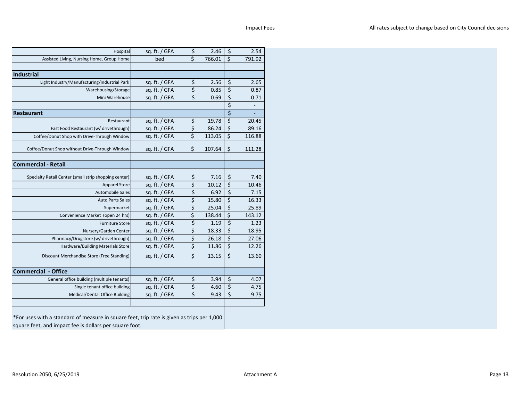| Hospital                                                                                                                                              | sq. ft. / GFA   | \$<br>2.46   | $\overline{\varsigma}$          | 2.54                     |
|-------------------------------------------------------------------------------------------------------------------------------------------------------|-----------------|--------------|---------------------------------|--------------------------|
| Assisted Living, Nursing Home, Group Home                                                                                                             | bed             | \$<br>766.01 | \$                              | 791.92                   |
|                                                                                                                                                       |                 |              |                                 |                          |
| <b>Industrial</b>                                                                                                                                     |                 |              |                                 |                          |
| Light Industry/Manufacturing/Industrial Park                                                                                                          | sq. ft. / GFA   | \$<br>2.56   | \$                              | 2.65                     |
| Warehousing/Storage                                                                                                                                   | sq. ft. $/$ GFA | \$<br>0.85   | \$                              | 0.87                     |
| Mini Warehouse                                                                                                                                        | sq. ft. / GFA   | \$<br>0.69   | $rac{5}{5}$                     | 0.71                     |
|                                                                                                                                                       |                 |              |                                 | $\overline{\phantom{a}}$ |
| <b>Restaurant</b>                                                                                                                                     |                 |              | $\overline{\boldsymbol{\xi}}$   |                          |
| Restaurant                                                                                                                                            | sq. ft. $/$ GFA | \$<br>19.78  | \$                              | 20.45                    |
| Fast Food Restaurant (w/ drivethrough)                                                                                                                | sq. ft. / GFA   | \$<br>86.24  | \$                              | 89.16                    |
| Coffee/Donut Shop with Drive-Through Window                                                                                                           | sq. ft. / GFA   | \$<br>113.05 | \$                              | 116.88                   |
| Coffee/Donut Shop without Drive-Through Window                                                                                                        | sq. ft. $/$ GFA | \$<br>107.64 | \$                              | 111.28                   |
|                                                                                                                                                       |                 |              |                                 |                          |
| <b>Commercial - Retail</b>                                                                                                                            |                 |              |                                 |                          |
| Specialty Retail Center (small strip shopping center)                                                                                                 | sq. ft. $/$ GFA | \$<br>7.16   | \$                              | 7.40                     |
| <b>Apparel Store</b>                                                                                                                                  | sq. ft. / GFA   | \$<br>10.12  | \$                              | 10.46                    |
| <b>Automobile Sales</b>                                                                                                                               | sq. ft. $/$ GFA | \$<br>6.92   | $\overline{\xi}$                | 7.15                     |
| <b>Auto Parts Sales</b>                                                                                                                               | sq. ft. / GFA   | \$<br>15.80  | $\overline{\xi}$                | 16.33                    |
| Supermarket                                                                                                                                           | sq. ft. $/$ GFA | \$<br>25.04  | \$                              | 25.89                    |
| Convenience Market (open 24 hrs)                                                                                                                      | sq. ft. / GFA   | \$<br>138.44 | $\overline{\xi}$                | 143.12                   |
| <b>Furniture Store</b>                                                                                                                                | sq. ft. / GFA   | \$<br>1.19   | \$                              | 1.23                     |
| Nursery/Garden Center                                                                                                                                 | sq. ft. $/$ GFA | \$<br>18.33  | $\overline{\boldsymbol{\zeta}}$ | 18.95                    |
| Pharmacy/Drugstore (w/ drivethrough)                                                                                                                  | sq. ft. / GFA   | \$<br>26.18  | \$                              | 27.06                    |
| Hardware/Building Materials Store                                                                                                                     | sq. ft. / GFA   | \$<br>11.86  | $\overline{\xi}$                | 12.26                    |
| Discount Merchandise Store (Free Standing)                                                                                                            | sq. ft. / GFA   | \$<br>13.15  | \$                              | 13.60                    |
| <b>Commercial - Office</b>                                                                                                                            |                 |              |                                 |                          |
| General office building (multiple tenants)                                                                                                            | sq. ft. / GFA   | \$<br>3.94   | \$                              | 4.07                     |
| Single tenant office building                                                                                                                         | sq. ft. $/$ GFA | \$<br>4.60   | $\overline{\xi}$                | 4.75                     |
| Medical/Dental Office Building                                                                                                                        | sq. ft. $/$ GFA | \$<br>9.43   | $\overline{\xi}$                | 9.75                     |
|                                                                                                                                                       |                 |              |                                 |                          |
| *For uses with a standard of measure in square feet, trip rate is given as trips per 1,000<br>square feet, and impact fee is dollars per square foot. |                 |              |                                 |                          |